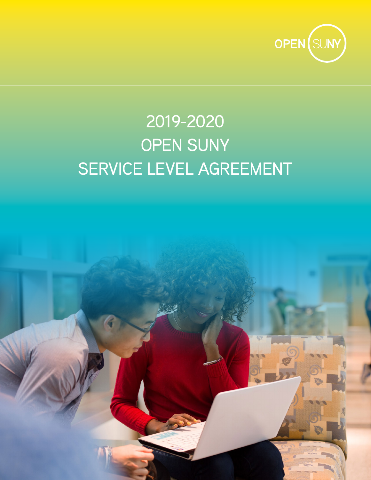

# 2019-2020 OPEN SUNY SERVICE LEVEL AGREEMENT

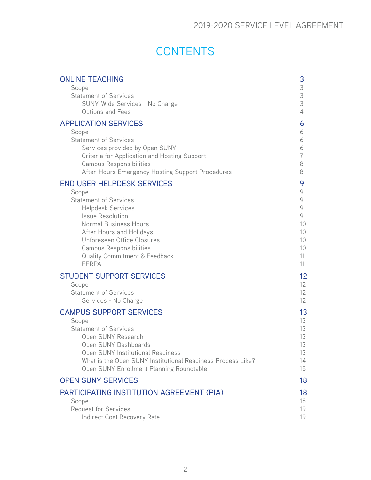# **CONTENTS**

| <b>ONLINE TEACHING</b><br>Scope                                                    | 3<br>3         |
|------------------------------------------------------------------------------------|----------------|
| <b>Statement of Services</b><br>SUNY-Wide Services - No Charge<br>Options and Fees | 3<br>3<br>4    |
| <b>APPLICATION SERVICES</b>                                                        | 6              |
| Scope                                                                              | 6              |
| <b>Statement of Services</b><br>Services provided by Open SUNY                     | 6<br>6         |
| Criteria for Application and Hosting Support                                       | $\overline{7}$ |
| Campus Responsibilities                                                            | 8              |
| After-Hours Emergency Hosting Support Procedures                                   | 8              |
| <b>END USER HELPDESK SERVICES</b>                                                  | 9              |
| Scope<br><b>Statement of Services</b>                                              | 9<br>9         |
| <b>Helpdesk Services</b>                                                           | 9              |
| <b>Issue Resolution</b>                                                            | 9              |
| Normal Business Hours                                                              | 10             |
| After Hours and Holidays<br>Unforeseen Office Closures                             | 10<br>10       |
| Campus Responsibilities                                                            | 10             |
| <b>Quality Commitment &amp; Feedback</b>                                           | 11             |
| <b>FERPA</b>                                                                       | 11             |
| <b>STUDENT SUPPORT SERVICES</b>                                                    | 12             |
| Scope<br><b>Statement of Services</b>                                              | 12<br>12       |
| Services - No Charge                                                               | 12             |
| <b>CAMPUS SUPPORT SERVICES</b>                                                     | 13             |
| Scope                                                                              | 13             |
| <b>Statement of Services</b>                                                       | 13             |
| Open SUNY Research<br>Open SUNY Dashboards                                         | 13<br>13       |
| Open SUNY Institutional Readiness                                                  | 13             |
| What is the Open SUNY Institutional Readiness Process Like?                        | 14             |
| Open SUNY Enrollment Planning Roundtable                                           | 15             |
| <b>OPEN SUNY SERVICES</b>                                                          | 18             |
| PARTICIPATING INSTITUTION AGREEMENT (PIA)                                          | 18             |
| Scope                                                                              | 18             |
| <b>Request for Services</b><br>Indirect Cost Recovery Rate                         | 19<br>19       |
|                                                                                    |                |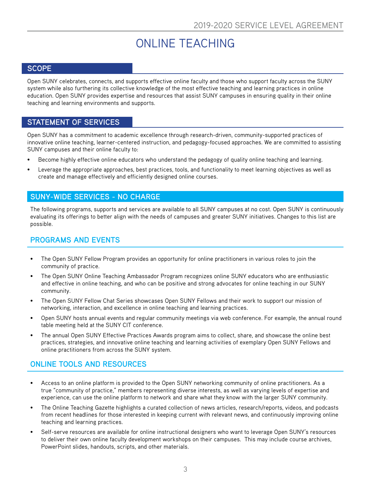# ONLINE TEACHING

### <span id="page-2-0"></span>**SCOPE**

Open SUNY celebrates, connects, and supports effective online faculty and those who support faculty across the SUNY system while also furthering its collective knowledge of the most effective teaching and learning practices in online education. Open SUNY provides expertise and resources that assist SUNY campuses in ensuring quality in their online teaching and learning environments and supports.

#### **STATEMENT OF SERVICES**

Open SUNY has a commitment to academic excellence through research-driven, community-supported practices of innovative online teaching, learner-centered instruction, and pedagogy-focused approaches. We are committed to assisting SUNY campuses and their online faculty to:

- Become highly effective online educators who understand the pedagogy of quality online teaching and learning.
- Leverage the appropriate approaches, best practices, tools, and functionality to meet learning objectives as well as create and manage effectively and efficiently designed online courses.

### **SUNY-WIDE SERVICES - NO CHARGE**

The following programs, supports and services are available to all SUNY campuses at no cost. Open SUNY is continuously evaluating its offerings to better align with the needs of campuses and greater SUNY initiatives. Changes to this list are possible.

### **PROGRAMS AND EVENTS**

- The Open SUNY Fellow Program provides an opportunity for online practitioners in various roles to join the community of practice.
- The Open SUNY Online Teaching Ambassador Program recognizes online SUNY educators who are enthusiastic and effective in online teaching, and who can be positive and strong advocates for online teaching in our SUNY community.
- The Open SUNY Fellow Chat Series showcases Open SUNY Fellows and their work to support our mission of networking, interaction, and excellence in online teaching and learning practices.
- Open SUNY hosts annual events and regular community meetings via web conference. For example, the annual round table meeting held at the SUNY CIT conference.
- The annual Open SUNY Effective Practices Awards program aims to collect, share, and showcase the online best practices, strategies, and innovative online teaching and learning activities of exemplary Open SUNY Fellows and online practitioners from across the SUNY system.

# **ONLINE TOOLS AND RESOURCES**

- Access to an online platform is provided to the Open SUNY networking community of online practitioners. As a true "community of practice," members representing diverse interests, as well as varying levels of expertise and experience, can use the online platform to network and share what they know with the larger SUNY community.
- The Online Teaching Gazette highlights a curated collection of news articles, research/reports, videos, and podcasts from recent headlines for those interested in keeping current with relevant news, and continuously improving online teaching and learning practices.
- Self-serve resources are available for online instructional designers who want to leverage Open SUNY's resources to deliver their own online faculty development workshops on their campuses. This may include course archives, PowerPoint slides, handouts, scripts, and other materials.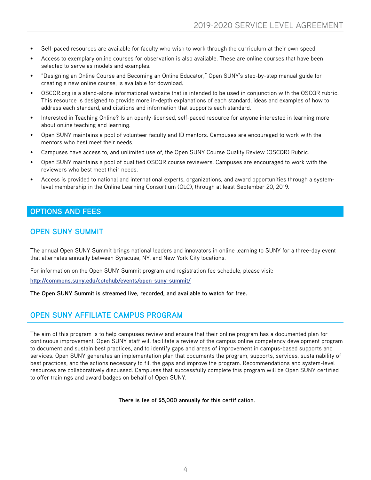- <span id="page-3-0"></span>• Self-paced resources are available for faculty who wish to work through the curriculum at their own speed.
- Access to exemplary online courses for observation is also available. These are online courses that have been selected to serve as models and examples.
- "Designing an Online Course and Becoming an Online Educator," Open SUNY's step-by-step manual guide for creating a new online course, is available for download.
- OSCQR.org is a stand-alone informational website that is intended to be used in conjunction with the OSCQR rubric. This resource is designed to provide more in-depth explanations of each standard, ideas and examples of how to address each standard, and citations and information that supports each standard.
- Interested in Teaching Online? Is an openly-licensed, self-paced resource for anyone interested in learning more about online teaching and learning.
- Open SUNY maintains a pool of volunteer faculty and ID mentors. Campuses are encouraged to work with the mentors who best meet their needs.
- Campuses have access to, and unlimited use of, the Open SUNY Course Quality Review (OSCQR) Rubric.
- Open SUNY maintains a pool of qualified OSCQR course reviewers. Campuses are encouraged to work with the reviewers who best meet their needs.
- Access is provided to national and international experts, organizations, and award opportunities through a systemlevel membership in the Online Learning Consortium (OLC), through at least September 20, 2019.

#### **OPTIONS AND FEES**

#### **OPEN SUNY SUMMIT**

The annual Open SUNY Summit brings national leaders and innovators in online learning to SUNY for a three-day event that alternates annually between Syracuse, NY, and New York City locations.

For information on the Open SUNY Summit program and registration fee schedule, please visit:

**[http://commons.suny.edu/cotehub/events/open-suny-summit/](http://commons.suny.edu/cotehub/events/open-suny-summit/ )**

**The Open SUNY Summit is streamed live, recorded, and available to watch for free.**

### **OPEN SUNY AFFILIATE CAMPUS PROGRAM**

The aim of this program is to help campuses review and ensure that their online program has a documented plan for continuous improvement. Open SUNY staff will facilitate a review of the campus online competency development program to document and sustain best practices, and to identify gaps and areas of improvement in campus-based supports and services. Open SUNY generates an implementation plan that documents the program, supports, services, sustainability of best practices, and the actions necessary to fill the gaps and improve the program. Recommendations and system-level resources are collaboratively discussed. Campuses that successfully complete this program will be Open SUNY certified to offer trainings and award badges on behalf of Open SUNY.

**There is fee of \$5,000 annually for this certification.**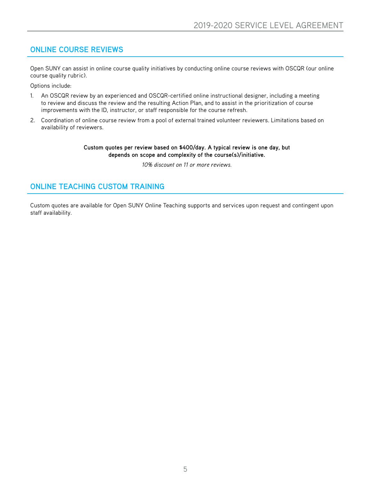# **ONLINE COURSE REVIEWS**

Open SUNY can assist in online course quality initiatives by conducting online course reviews with OSCQR (our online course quality rubric).

Options include:

- 1. An OSCQR review by an experienced and OSCQR-certified online instructional designer, including a meeting to review and discuss the review and the resulting Action Plan, and to assist in the prioritization of course improvements with the ID, instructor, or staff responsible for the course refresh.
- 2. Coordination of online course review from a pool of external trained volunteer reviewers. Limitations based on availability of reviewers.

#### **Custom quotes per review based on \$400/day. A typical review is one day, but depends on scope and complexity of the course(s)/initiative.**

*10% discount on 11 or more reviews.*

# **ONLINE TEACHING CUSTOM TRAINING**

Custom quotes are available for Open SUNY Online Teaching supports and services upon request and contingent upon staff availability.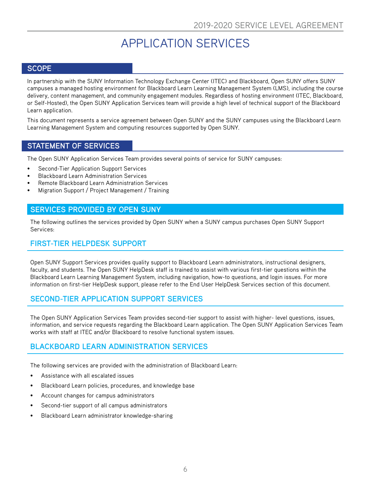# APPLICATION SERVICES

### <span id="page-5-0"></span>**SCOPE**

In partnership with the SUNY Information Technology Exchange Center (ITEC) and Blackboard, Open SUNY offers SUNY campuses a managed hosting environment for Blackboard Learn Learning Management System (LMS), including the course delivery, content management, and community engagement modules. Regardless of hosting environment (ITEC, Blackboard, or Self-Hosted), the Open SUNY Application Services team will provide a high level of technical support of the Blackboard Learn application.

This document represents a service agreement between Open SUNY and the SUNY campuses using the Blackboard Learn Learning Management System and computing resources supported by Open SUNY.

#### **STATEMENT OF SERVICES**

The Open SUNY Application Services Team provides several points of service for SUNY campuses:

- Second-Tier Application Support Services
- Blackboard Learn Administration Services
- Remote Blackboard Learn Administration Services
- Migration Support / Project Management / Training

#### **SERVICES PROVIDED BY OPEN SUNY**

The following outlines the services provided by Open SUNY when a SUNY campus purchases Open SUNY Support Services:

### **FIRST-TIER HELPDESK SUPPORT**

Open SUNY Support Services provides quality support to Blackboard Learn administrators, instructional designers, faculty, and students. The Open SUNY HelpDesk staff is trained to assist with various first-tier questions within the Blackboard Learn Learning Management System, including navigation, how-to questions, and login issues. For more information on first-tier HelpDesk support, please refer to the End User HelpDesk Services section of this document.

### **SECOND-TIER APPLICATION SUPPORT SERVICES**

The Open SUNY Application Services Team provides second-tier support to assist with higher- level questions, issues, information, and service requests regarding the Blackboard Learn application. The Open SUNY Application Services Team works with staff at ITEC and/or Blackboard to resolve functional system issues.

### **BLACKBOARD LEARN ADMINISTRATION SERVICES**

The following services are provided with the administration of Blackboard Learn:

- Assistance with all escalated issues
- Blackboard Learn policies, procedures, and knowledge base
- Account changes for campus administrators
- Second-tier support of all campus administrators
- Blackboard Learn administrator knowledge-sharing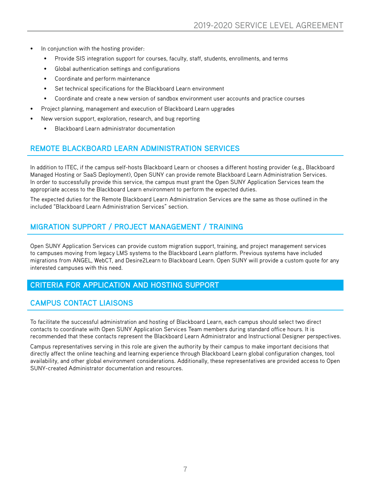- <span id="page-6-0"></span>In conjunction with the hosting provider:
	- Provide SIS integration support for courses, faculty, staff, students, enrollments, and terms
	- Global authentication settings and configurations
	- Coordinate and perform maintenance
	- Set technical specifications for the Blackboard Learn environment
	- Coordinate and create a new version of sandbox environment user accounts and practice courses
- Project planning, management and execution of Blackboard Learn upgrades
- New version support, exploration, research, and bug reporting
	- Blackboard Learn administrator documentation

# **REMOTE BLACKBOARD LEARN ADMINISTRATION SERVICES**

In addition to ITEC, if the campus self-hosts Blackboard Learn or chooses a different hosting provider (e.g., Blackboard Managed Hosting or SaaS Deployment), Open SUNY can provide remote Blackboard Learn Administration Services. In order to successfully provide this service, the campus must grant the Open SUNY Application Services team the appropriate access to the Blackboard Learn environment to perform the expected duties.

The expected duties for the Remote Blackboard Learn Administration Services are the same as those outlined in the included "Blackboard Learn Administration Services" section.

### **MIGRATION SUPPORT / PROJECT MANAGEMENT / TRAINING**

Open SUNY Application Services can provide custom migration support, training, and project management services to campuses moving from legacy LMS systems to the Blackboard Learn platform. Previous systems have included migrations from ANGEL, WebCT, and Desire2Learn to Blackboard Learn. Open SUNY will provide a custom quote for any interested campuses with this need.

### **CRITERIA FOR APPLICATION AND HOSTING SUPPORT**

### **CAMPUS CONTACT LIAISONS**

To facilitate the successful administration and hosting of Blackboard Learn, each campus should select two direct contacts to coordinate with Open SUNY Application Services Team members during standard office hours. It is recommended that these contacts represent the Blackboard Learn Administrator and Instructional Designer perspectives.

Campus representatives serving in this role are given the authority by their campus to make important decisions that directly affect the online teaching and learning experience through Blackboard Learn global configuration changes, tool availability, and other global environment considerations. Additionally, these representatives are provided access to Open SUNY-created Administrator documentation and resources.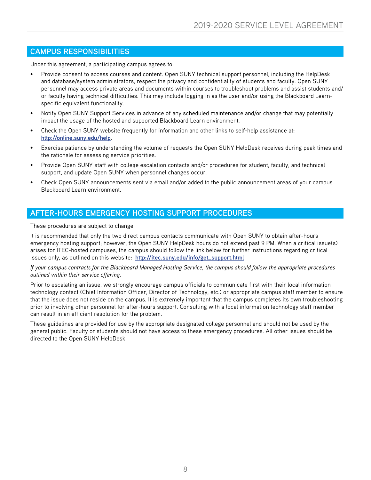# <span id="page-7-0"></span>**CAMPUS RESPONSIBILITIES**

Under this agreement, a participating campus agrees to:

- Provide consent to access courses and content. Open SUNY technical support personnel, including the HelpDesk and database/system administrators, respect the privacy and confidentiality of students and faculty. Open SUNY personnel may access private areas and documents within courses to troubleshoot problems and assist students and/ or faculty having technical difficulties. This may include logging in as the user and/or using the Blackboard Learnspecific equivalent functionality.
- Notify Open SUNY Support Services in advance of any scheduled maintenance and/or change that may potentially impact the usage of the hosted and supported Blackboard Learn environment.
- Check the Open SUNY website frequently for information and other links to self-help assistance at: **http://online.suny.edu/help**.
- Exercise patience by understanding the volume of requests the Open SUNY HelpDesk receives during peak times and the rationale for assessing service priorities.
- Provide Open SUNY staff with college escalation contacts and/or procedures for student, faculty, and technical support, and update Open SUNY when personnel changes occur.
- Check Open SUNY announcements sent via email and/or added to the public announcement areas of your campus Blackboard Learn environment.

### **AFTER-HOURS EMERGENCY HOSTING SUPPORT PROCEDURES**

These procedures are subject to change.

It is recommended that only the two direct campus contacts communicate with Open SUNY to obtain after-hours emergency hosting support; however, the Open SUNY HelpDesk hours do not extend past 9 PM. When a critical issue(s) arises for ITEC-hosted campuses, the campus should follow the link below for further instructions regarding critical issues only, as outlined on this website: **http://itec.suny.edu/info/get\_support.html**

#### *If your campus contracts for the Blackboard Managed Hosting Service, the campus should follow the appropriate procedures outlined within their service offering.*

Prior to escalating an issue, we strongly encourage campus officials to communicate first with their local information technology contact (Chief Information Officer, Director of Technology, etc.) or appropriate campus staff member to ensure that the issue does not reside on the campus. It is extremely important that the campus completes its own troubleshooting prior to involving other personnel for after-hours support. Consulting with a local information technology staff member can result in an efficient resolution for the problem.

These guidelines are provided for use by the appropriate designated college personnel and should not be used by the general public. Faculty or students should not have access to these emergency procedures. All other issues should be directed to the Open SUNY HelpDesk.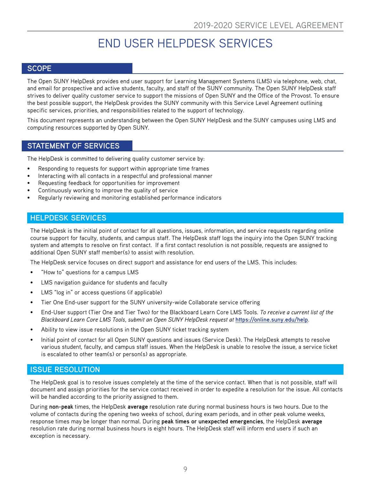# END USER HELPDESK SERVICES

### <span id="page-8-0"></span>**SCOPE**

The Open SUNY HelpDesk provides end user support for Learning Management Systems (LMS) via telephone, web, chat, and email for prospective and active students, faculty, and staff of the SUNY community. The Open SUNY HelpDesk staff strives to deliver quality customer service to support the missions of Open SUNY and the Office of the Provost. To ensure the best possible support, the HelpDesk provides the SUNY community with this Service Level Agreement outlining specific services, priorities, and responsibilities related to the support of technology.

This document represents an understanding between the Open SUNY HelpDesk and the SUNY campuses using LMS and computing resources supported by Open SUNY.

#### **STATEMENT OF SERVICES**

The HelpDesk is committed to delivering quality customer service by:

- Responding to requests for support within appropriate time frames
- Interacting with all contacts in a respectful and professional manner
- Requesting feedback for opportunities for improvement
- Continuously working to improve the quality of service
- Regularly reviewing and monitoring established performance indicators

#### **HELPDESK SERVICES**

The HelpDesk is the initial point of contact for all questions, issues, information, and service requests regarding online course support for faculty, students, and campus staff. The HelpDesk staff logs the inquiry into the Open SUNY tracking system and attempts to resolve on first contact. If a first contact resolution is not possible, requests are assigned to additional Open SUNY staff member(s) to assist with resolution.

The HelpDesk service focuses on direct support and assistance for end users of the LMS. This includes:

- "How to" questions for a campus LMS
- LMS navigation guidance for students and faculty
- LMS "log in" or access questions (if applicable)
- Tier One End-user support for the SUNY university-wide Collaborate service offering
- End-User support (Tier One and Tier Two) for the Blackboard Learn Core LMS Tools. *To receive a current list of the Blackboard Learn Core LMS Tools, submit an Open SUNY HelpDesk request at* **<https://online.suny.edu/help>***.*
- Ability to view issue resolutions in the Open SUNY ticket tracking system
- Initial point of contact for all Open SUNY questions and issues (Service Desk). The HelpDesk attempts to resolve various student, faculty, and campus staff issues. When the HelpDesk is unable to resolve the issue, a service ticket is escalated to other team(s) or person(s) as appropriate.

#### **ISSUE RESOLUTION**

The HelpDesk goal is to resolve issues completely at the time of the service contact. When that is not possible, staff will document and assign priorities for the service contact received in order to expedite a resolution for the issue. All contacts will be handled according to the priority assigned to them.

During **non-peak** times, the HelpDesk **average** resolution rate during normal business hours is two hours. Due to the volume of contacts during the opening two weeks of school, during exam periods, and in other peak volume weeks, response times may be longer than normal. During **peak times or unexpected emergencies**, the HelpDesk **average** resolution rate during normal business hours is eight hours. The HelpDesk staff will inform end users if such an exception is necessary.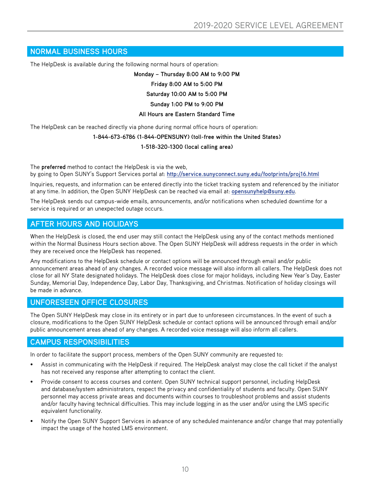#### <span id="page-9-0"></span>**NORMAL BUSINESS HOURS**

The HelpDesk is available during the following normal hours of operation:

**Monday – Thursday 8:00 AM to 9:00 PM Friday 8:00 AM to 5:00 PM Saturday 10:00 AM to 5:00 PM Sunday 1:00 PM to 9:00 PM All Hours are Eastern Standard Time**

The HelpDesk can be reached directly via phone during normal office hours of operation:

# **1-844-673-6786 (1-844-OPENSUNY) (toll-free within the United States)**

#### **1-518-320-1300 (local calling area)**

The **preferred** method to contact the HelpDesk is via the web, by going to Open SUNY's Support Services portal at: **<http://service.sunyconnect.suny.edu/footprints/proj16.html>**

Inquiries, requests, and information can be entered directly into the ticket tracking system and referenced by the initiator at any time. In addition, the Open SUNY HelpDesk can be reached via email at: **opensunyhelp@suny.edu**.

The HelpDesk sends out campus-wide emails, announcements, and/or notifications when scheduled downtime for a service is required or an unexpected outage occurs.

#### **AFTER HOURS AND HOLIDAYS**

When the HelpDesk is closed, the end user may still contact the HelpDesk using any of the contact methods mentioned within the Normal Business Hours section above. The Open SUNY HelpDesk will address requests in the order in which they are received once the HelpDesk has reopened.

Any modifications to the HelpDesk schedule or contact options will be announced through email and/or public announcement areas ahead of any changes. A recorded voice message will also inform all callers. The HelpDesk does not close for all NY State designated holidays. The HelpDesk does close for major holidays, including New Year's Day, Easter Sunday, Memorial Day, Independence Day, Labor Day, Thanksgiving, and Christmas. Notification of holiday closings will be made in advance.

#### **UNFORESEEN OFFICE CLOSURES**

The Open SUNY HelpDesk may close in its entirety or in part due to unforeseen circumstances. In the event of such a closure, modifications to the Open SUNY HelpDesk schedule or contact options will be announced through email and/or public announcement areas ahead of any changes. A recorded voice message will also inform all callers.

#### **CAMPUS RESPONSIBILITIES**

In order to facilitate the support process, members of the Open SUNY community are requested to:

- Assist in communicating with the HelpDesk if required. The HelpDesk analyst may close the call ticket if the analyst has not received any response after attempting to contact the client.
- Provide consent to access courses and content. Open SUNY technical support personnel, including HelpDesk and database/system administrators, respect the privacy and confidentiality of students and faculty. Open SUNY personnel may access private areas and documents within courses to troubleshoot problems and assist students and/or faculty having technical difficulties. This may include logging in as the user and/or using the LMS specific equivalent functionality.
- Notify the Open SUNY Support Services in advance of any scheduled maintenance and/or change that may potentially impact the usage of the hosted LMS environment.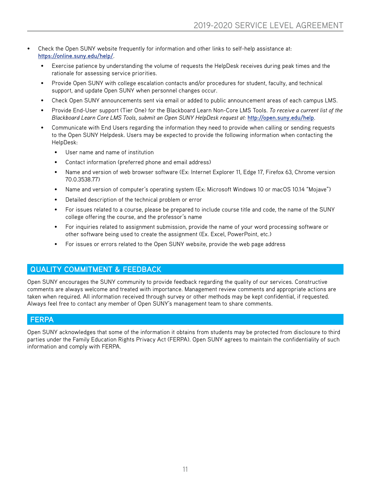- <span id="page-10-0"></span>• Check the Open SUNY website frequently for information and other links to self-help assistance at: **<https://online.suny.edu/help/>**.
	- Exercise patience by understanding the volume of requests the HelpDesk receives during peak times and the rationale for assessing service priorities.
	- Provide Open SUNY with college escalation contacts and/or procedures for student, faculty, and technical support, and update Open SUNY when personnel changes occur.
	- Check Open SUNY announcements sent via email or added to public announcement areas of each campus LMS.
	- Provide End-User support (Tier One) for the Blackboard Learn Non-Core LMS Tools. *To receive a current list of the Blackboard Learn Core LMS Tools, submit an Open SUNY HelpDesk request at:* **http://open.suny.edu/help**.
	- Communicate with End Users regarding the information they need to provide when calling or sending requests to the Open SUNY Helpdesk. Users may be expected to provide the following information when contacting the HelpDesk:
		- User name and name of institution
		- Contact information (preferred phone and email address)
		- Name and version of web browser software (Ex: Internet Explorer 11, Edge 17, Firefox 63, Chrome version 70.0.3538.77)
		- Name and version of computer's operating system (Ex: Microsoft Windows 10 or macOS 10.14 "Mojave")
		- Detailed description of the technical problem or error
		- For issues related to a course, please be prepared to include course title and code, the name of the SUNY college offering the course, and the professor's name
		- For inquiries related to assignment submission, provide the name of your word processing software or other software being used to create the assignment (Ex. Excel, PowerPoint, etc.)
		- For issues or errors related to the Open SUNY website, provide the web page address

#### **QUALITY COMMITMENT & FEEDBACK**

Open SUNY encourages the SUNY community to provide feedback regarding the quality of our services. Constructive comments are always welcome and treated with importance. Management review comments and appropriate actions are taken when required. All information received through survey or other methods may be kept confidential, if requested. Always feel free to contact any member of Open SUNY's management team to share comments.

#### **FERPA**

Open SUNY acknowledges that some of the information it obtains from students may be protected from disclosure to third parties under the Family Education Rights Privacy Act (FERPA). Open SUNY agrees to maintain the confidentiality of such information and comply with FERPA.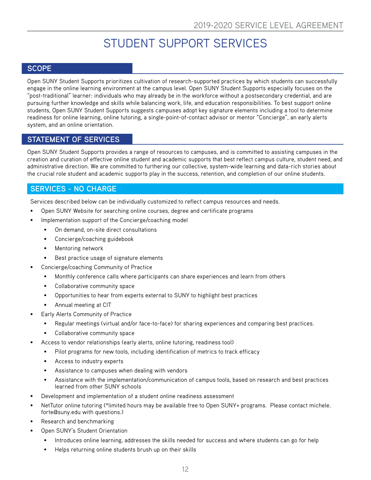# STUDENT SUPPORT SERVICES

# <span id="page-11-0"></span>**SCOPE**

Open SUNY Student Supports prioritizes cultivation of research-supported practices by which students can successfully engage in the online learning environment at the campus level. Open SUNY Student Supports especially focuses on the "post-traditional" learner: individuals who may already be in the workforce without a postsecondary credential, and are pursuing further knowledge and skills while balancing work, life, and education responsibilities. To best support online students, Open SUNY Student Supports suggests campuses adopt key signature elements including a tool to determine readiness for online learning, online tutoring, a single-point-of-contact advisor or mentor "Concierge", an early alerts system, and an online orientation.

### **STATEMENT OF SERVICES**

Open SUNY Student Supports provides a range of resources to campuses, and is committed to assisting campuses in the creation and curation of effective online student and academic supports that best reflect campus culture, student need, and administrative direction. We are committed to furthering our collective, system-wide learning and data-rich stories about the crucial role student and academic supports play in the success, retention, and completion of our online students.

### **SERVICES - NO CHARGE**

Services described below can be individually customized to reflect campus resources and needs.

- Open SUNY Website for searching online courses, degree and certificate programs
- Implementation support of the Concierge/coaching model
	- On demand, on-site direct consultations
	- Concierge/coaching guidebook
	- Mentoring network
	- Best practice usage of signature elements
	- Concierge/coaching Community of Practice
		- Monthly conference calls where participants can share experiences and learn from others
		- Collaborative community space
		- Opportunities to hear from experts external to SUNY to highlight best practices
		- Annual meeting at CIT
- Early Alerts Community of Practice
	- Regular meetings (virtual and/or face-to-face) for sharing experiences and comparing best practices.
	- Collaborative community space
- Access to vendor relationships (early alerts, online tutoring, readiness tool)
	- Pilot programs for new tools, including identification of metrics to track efficacy
	- Access to industry experts
	- Assistance to campuses when dealing with vendors
	- Assistance with the implementation/communication of campus tools, based on research and best practices learned from other SUNY schools
- Development and implementation of a student online readiness assessment
- NetTutor online tutoring (\*limited hours may be available free to Open SUNY+ programs. Please contact michele. forte@suny.edu with questions.)
- Research and benchmarking
- Open SUNY's Student Orientation
	- Introduces online learning, addresses the skills needed for success and where students can go for help
	- Helps returning online students brush up on their skills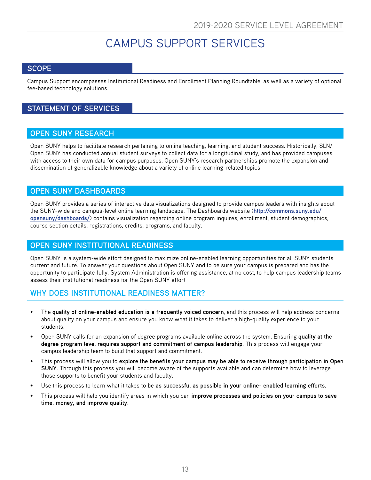# CAMPUS SUPPORT SERVICES

### <span id="page-12-0"></span>**SCOPE**

Campus Support encompasses Institutional Readiness and Enrollment Planning Roundtable, as well as a variety of optional fee-based technology solutions.

# **STATEMENT OF SERVICES**

#### **OPEN SUNY RESEARCH**

Open SUNY helps to facilitate research pertaining to online teaching, learning, and student success. Historically, SLN/ Open SUNY has conducted annual student surveys to collect data for a longitudinal study, and has provided campuses with access to their own data for campus purposes. Open SUNY's research partnerships promote the expansion and dissemination of generalizable knowledge about a variety of online learning-related topics.

### **OPEN SUNY DASHBOARDS**

Open SUNY provides a series of interactive data visualizations designed to provide campus leaders with insights about the SUNY-wide and campus-level online learning landscape. The Dashboards website (**[http://commons.suny.edu/](http://commons.suny.edu/opensuny/dashboards/) [opensuny/dashboards/](http://commons.suny.edu/opensuny/dashboards/)**) contains visualization regarding online program inquires, enrollment, student demographics, course section details, registrations, credits, programs, and faculty.

### **OPEN SUNY INSTITUTIONAL READINESS**

Open SUNY is a system-wide effort designed to maximize online-enabled learning opportunities for all SUNY students current and future. To answer your questions about Open SUNY and to be sure your campus is prepared and has the opportunity to participate fully, System Administration is offering assistance, at no cost, to help campus leadership teams assess their institutional readiness for the Open SUNY effort

### **WHY DOES INSTITUTIONAL READINESS MATTER?**

- The **quality of online-enabled education is a frequently voiced concern**, and this process will help address concerns about quality on your campus and ensure you know what it takes to deliver a high-quality experience to your students.
- Open SUNY calls for an expansion of degree programs available online across the system. Ensuring **quality at the degree program level requires support and commitment of campus leadership**. This process will engage your campus leadership team to build that support and commitment.
- This process will allow you to **explore the benefits your campus may be able to receive through participation in Open SUNY**. Through this process you will become aware of the supports available and can determine how to leverage those supports to benefit your students and faculty.
- Use this process to learn what it takes to **be as successful as possible in your online- enabled learning efforts**.
- This process will help you identify areas in which you can **improve processes and policies on your campus to save time, money, and improve quality**.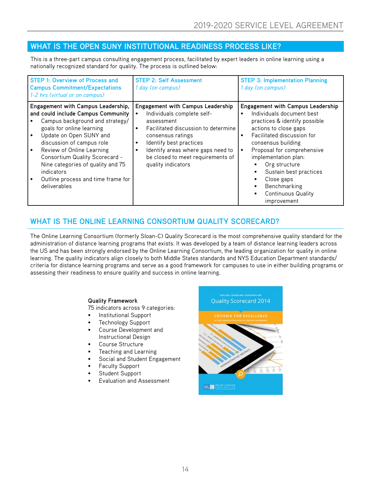# <span id="page-13-0"></span>**WHAT IS THE OPEN SUNY INSTITUTIONAL READINESS PROCESS LIKE?**

This is a three-part campus consulting engagement process, facilitated by expert leaders in online learning using a nationally recognized standard for quality. The process is outlined below:

| <b>STEP 1: Overview of Process and</b><br><b>Campus Commitment/Expectations</b><br>1-2 hrs (virtual or on campus)                                                                                                                                                                                                                                                        | <b>STEP 2: Self Assessment</b><br>1 day (on campus)                                                                                                                                                                                                                                      | <b>STEP 3: Implementation Planning</b><br>1 day (on campus)                                                                                                                                                                                                                                                                                                                 |
|--------------------------------------------------------------------------------------------------------------------------------------------------------------------------------------------------------------------------------------------------------------------------------------------------------------------------------------------------------------------------|------------------------------------------------------------------------------------------------------------------------------------------------------------------------------------------------------------------------------------------------------------------------------------------|-----------------------------------------------------------------------------------------------------------------------------------------------------------------------------------------------------------------------------------------------------------------------------------------------------------------------------------------------------------------------------|
| Engagement with Campus Leadership,<br>and could include Campus Community<br>Campus background and strategy/<br>goals for online learning<br>Update on Open SUNY and<br>discussion of campus role<br>Review of Online Learning<br>Consortium Quality Scorecard -<br>Nine categories of quality and 75<br>indicators<br>Outline process and time frame for<br>deliverables | <b>Engagement with Campus Leadership</b><br>Individuals complete self-<br>assessment<br>Facilitated discussion to determine<br>$\bullet$<br>consensus ratings<br>Identify best practices<br>Identify areas where gaps need to<br>be closed to meet requirements of<br>quality indicators | <b>Engagement with Campus Leadership</b><br>Individuals document best<br>$\bullet$<br>practices & identify possible<br>actions to close gaps<br>Facilitated discussion for<br>consensus building<br>Proposal for comprehensive<br>implementation plan:<br>Org structure<br>Sustain best practices<br>Close gaps<br>Benchmarking<br><b>Continuous Quality</b><br>improvement |

# **WHAT IS THE ONLINE LEARNING CONSORTIUM QUALITY SCORECARD?**

The Online Learning Consortium (formerly Sloan-C) Quality Scorecard is the most comprehensive quality standard for the administration of distance learning programs that exists. It was developed by a team of distance learning leaders across the US and has been strongly endorsed by the Online Learning Consortium, the leading organization for quality in online learning. The quality indicators align closely to both Middle States standards and NYS Education Department standards/ criteria for distance learning programs and serve as a good framework for campuses to use in either building programs or assessing their readiness to ensure quality and success in online learning.

#### **Quality Framework**

75 indicators across 9 categories:

- Institutional Support
- Technology Support
- Course Development and Instructional Design
- Course Structure
- Teaching and Learning
- Social and Student Engagement
- Faculty Support
- Student Support
- Evaluation and Assessment

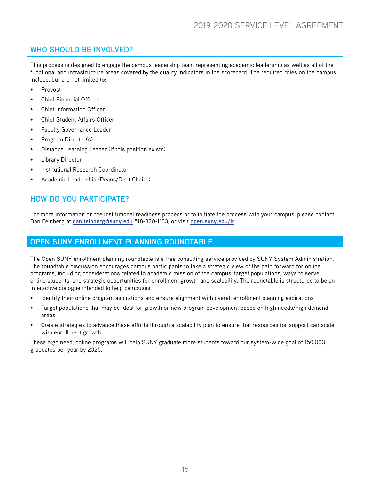# <span id="page-14-0"></span>**WHO SHOULD BE INVOLVED?**

This process is designed to engage the campus leadership team representing academic leadership as well as all of the functional and infrastructure areas covered by the quality indicators in the scorecard. The required roles on the campus include, but are not limited to:

- Provost
- Chief Financial Officer
- Chief Information Officer
- Chief Student Affairs Officer
- Faculty Governance Leader
- Program Director(s)
- Distance Learning Leader (if this position exists)
- Library Director
- Institutional Research Coordinator
- Academic Leadership (Deans/Dept Chairs)

# **HOW DO YOU PARTICIPATE?**

For more information on the institutional readiness process or to initiate the process with your campus, please contact Dan Feinberg at **[dan.feinberg@suny.edu](mailto:dan.feinberg%40suny.edu?subject=)** 518-320-1133; or visit **[open.suny.edu/ir](http://open.suny.edu/ir)**

#### **OPEN SUNY ENROLLMENT PLANNING ROUNDTABLE**

The Open SUNY enrollment planning roundtable is a free consulting service provided by SUNY System Administration. The roundtable discussion encourages campus participants to take a strategic view of the path forward for online programs, including considerations related to academic mission of the campus, target populations, ways to serve online students, and strategic opportunities for enrollment growth and scalability. The roundtable is structured to be an interactive dialogue intended to help campuses:

- Identify their online program aspirations and ensure alignment with overall enrollment planning aspirations
- Target populations that may be ideal for growth or new program development based on high needs/high demand areas
- Create strategies to advance these efforts through a scalability plan to ensure that resources for support can scale with enrollment growth

These high need, online programs will help SUNY graduate more students toward our system-wide goal of 150,000 graduates per year by 2025.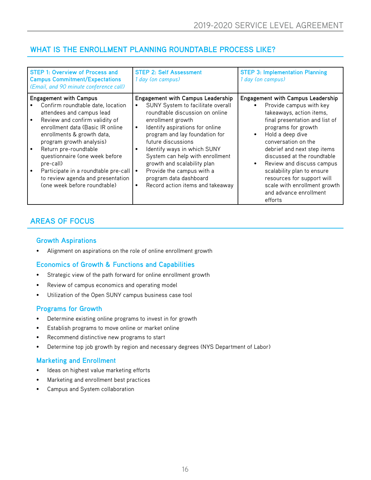# **WHAT IS THE ENROLLMENT PLANNING ROUNDTABLE PROCESS LIKE?**

| <b>STEP 1: Overview of Process and</b><br><b>Campus Commitment/Expectations</b><br>(Email, and 90 minute conference call)                                                                                                                                                                                                                                                                                            | <b>STEP 2: Self Assessment</b><br>1 day (on campus)                                                                                                                                                                                                                                                                                                                                                                                                                 | <b>STEP 3: Implementation Planning</b><br>1 day (on campus)                                                                                                                                                                                                                                                                                                                                                                                  |
|----------------------------------------------------------------------------------------------------------------------------------------------------------------------------------------------------------------------------------------------------------------------------------------------------------------------------------------------------------------------------------------------------------------------|---------------------------------------------------------------------------------------------------------------------------------------------------------------------------------------------------------------------------------------------------------------------------------------------------------------------------------------------------------------------------------------------------------------------------------------------------------------------|----------------------------------------------------------------------------------------------------------------------------------------------------------------------------------------------------------------------------------------------------------------------------------------------------------------------------------------------------------------------------------------------------------------------------------------------|
| <b>Engagement with Campus</b><br>Confirm roundtable date, location<br>attendees and campus lead<br>Review and confirm validity of<br>enrollment data (Basic IR online<br>enrollments & growth data,<br>program growth analysis)<br>Return pre-roundtable<br>questionnaire (one week before<br>pre-call)<br>Participate in a roundtable pre-call<br>to review agenda and presentation<br>(one week before roundtable) | <b>Engagement with Campus Leadership</b><br>SUNY System to facilitate overall<br>roundtable discussion on online<br>enrollment growth<br>Identify aspirations for online<br>$\bullet$<br>program and lay foundation for<br>future discussions<br>Identify ways in which SUNY<br>$\bullet$<br>System can help with enrollment<br>growth and scalability plan<br>Provide the campus with a<br>program data dashboard<br>Record action items and takeaway<br>$\bullet$ | <b>Engagement with Campus Leadership</b><br>Provide campus with key<br>takeaways, action items,<br>final presentation and list of<br>programs for growth<br>Hold a deep dive<br>$\bullet$<br>conversation on the<br>debrief and next step items<br>discussed at the roundtable<br>Review and discuss campus<br>scalability plan to ensure<br>resources for support will<br>scale with enrollment growth<br>and advance enrollment<br>efforts |

# **AREAS OF FOCUS**

#### **Growth Aspirations**

• Alignment on aspirations on the role of online enrollment growth

### **Economics of Growth & Functions and Capabilities**

- Strategic view of the path forward for online enrollment growth
- Review of campus economics and operating model
- Utilization of the Open SUNY campus business case tool

#### **Programs for Growth**

- Determine existing online programs to invest in for growth
- Establish programs to move online or market online
- Recommend distinctive new programs to start
- Determine top job growth by region and necessary degrees (NYS Department of Labor)

#### **Marketing and Enrollment**

- Ideas on highest value marketing efforts
- Marketing and enrollment best practices
- Campus and System collaboration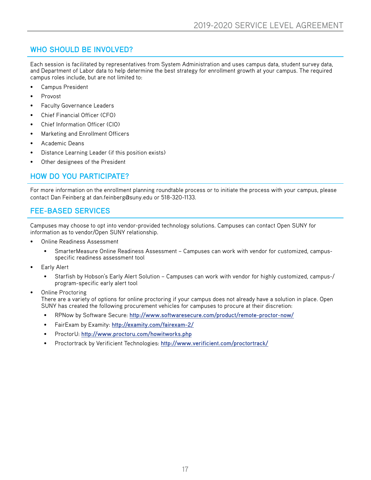# **WHO SHOULD BE INVOLVED?**

Each session is facilitated by representatives from System Administration and uses campus data, student survey data, and Department of Labor data to help determine the best strategy for enrollment growth at your campus. The required campus roles include, but are not limited to:

- Campus President
- Provost
- Faculty Governance Leaders
- Chief Financial Officer (CFO)
- Chief Information Officer (CIO)
- Marketing and Enrollment Officers
- Academic Deans
- Distance Learning Leader (if this position exists)
- Other designees of the President

# **HOW DO YOU PARTICIPATE?**

For more information on the enrollment planning roundtable process or to initiate the process with your campus, please contact Dan Feinberg at dan.feinberg@suny.edu or 518-320-1133.

# **FEE-BASED SERVICES**

Campuses may choose to opt into vendor-provided technology solutions. Campuses can contact Open SUNY for information as to vendor/Open SUNY relationship.

- Online Readiness Assessment
	- SmarterMeasure Online Readiness Assessment Campuses can work with vendor for customized, campusspecific readiness assessment tool
- Early Alert
	- Starfish by Hobson's Early Alert Solution Campuses can work with vendor for highly customized, campus-/ program-specific early alert tool
	- **Online Proctoring** There are a variety of options for online proctoring if your campus does not already have a solution in place. Open SUNY has created the following procurement vehicles for campuses to procure at their discretion:
		- RPNow by Software Secure: **http://www.softwaresecure.com/product/remote-proctor-now/**
		- FairExam by Examity: **http://examity.com/fairexam-2/**
		- ProctorU: **http://www.proctoru.com/howitworks.php**
		- Proctortrack by Verificient Technologies: **http://www.verificient.com/proctortrack/**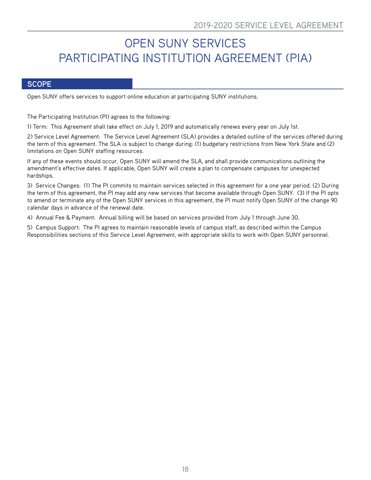# <span id="page-17-0"></span>OPEN SUNY SERVICES PARTICIPATING INSTITUTION AGREEMENT (PIA)

#### **SCOPE**

Open SUNY offers services to support online education at participating SUNY institutions.

The Participating Institution (PI) agrees to the following:

1) Term: This Agreement shall take effect on July 1, 2019 and automatically renews every year on July 1st.

2) Service Level Agreement: The Service Level Agreement (SLA) provides a detailed outline of the services offered during the term of this agreement. The SLA is subject to change during: (1) budgetary restrictions from New York State and (2) limitations on Open SUNY staffing resources.

If any of these events should occur, Open SUNY will amend the SLA, and shall provide communications outlining the amendment's effective dates. If applicable, Open SUNY will create a plan to compensate campuses for unexpected hardships.

3) Service Changes: (1) The PI commits to maintain services selected in this agreement for a one year period. (2) During the term of this agreement, the PI may add any new services that become available through Open SUNY. (3) If the PI opts to amend or terminate any of the Open SUNY services in this agreement, the PI must notify Open SUNY of the change 90 calendar days in advance of the renewal date.

4) Annual Fee & Payment: Annual billing will be based on services provided from July 1 through June 30.

5) Campus Support: The PI agrees to maintain reasonable levels of campus staff, as described within the Campus Responsibilities sections of this Service Level Agreement, with appropriate skills to work with Open SUNY personnel.